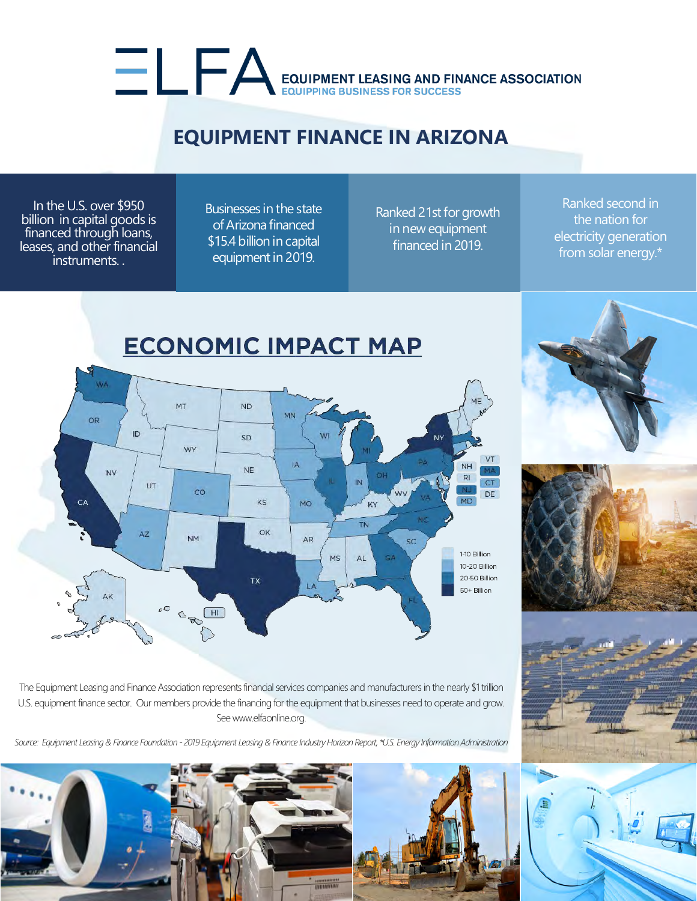## EQUIPMENT LEASING AND FINANCE ASSOCIATION

## **EQUIPMENT FINANCE IN ARIZONA**

In the U.S. over \$950 billion in capital goods is financed through loans, leases, and other financial instruments. .

Businesses inthe state of Arizona financed \$15.4 billion in capital equipment in 2019.

Ranked 21st for growth in new equipment financed in 2019.

Ranked second in the nation for electricity generation from solar energy.\*







The Equipment Leasing and Finance Association represents financial services companies and manufacturers in the nearly \$1 trillion U.S. equipment finance sector. Our members provide the financing for the equipment that businesses need to operate and grow. See www.elfaonline.org.

*Source: Equipment Leasing & Finance Foundation - 2019 Equipment Leasing & Finance Industry Horizon Report, \*U.S. Energy Information Administration*